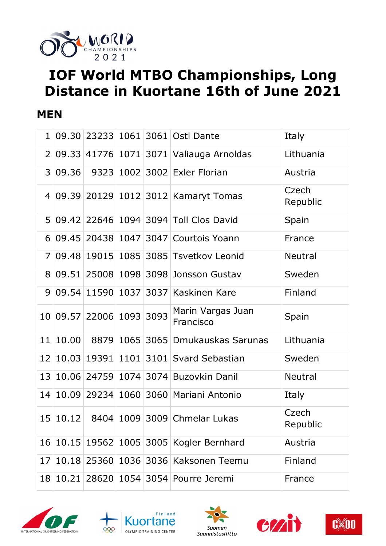

# **IOF World MTBO Championships, Long Distance in Kuortane 16th of June 2021**

#### **MEN**

| $\mathbf{1}$    |       |                          |           | 09.30 23233 1061 3061 Osti Dante        | Italy             |
|-----------------|-------|--------------------------|-----------|-----------------------------------------|-------------------|
| 2 <sup>1</sup>  |       |                          |           | 09.33 41776 1071 3071 Valiauga Arnoldas | Lithuania         |
| 3 <sup>1</sup>  | 09.36 |                          |           | 9323 1002 3002 Exler Florian            | Austria           |
|                 |       |                          |           | 4 09.39 20129 1012 3012 Kamaryt Tomas   | Czech<br>Republic |
|                 |       |                          |           | 5 09.42 22646 1094 3094 Toll Clos David | Spain             |
| 6 <sup>1</sup>  |       |                          |           | 09.45 20438 1047 3047 Courtois Yoann    | France            |
| 7 <sup>1</sup>  |       |                          |           | 09.48 19015 1085 3085 Tsvetkov Leonid   | <b>Neutral</b>    |
| 8 <sup>1</sup>  |       |                          |           | 09.51 25008 1098 3098 Jonsson Gustav    | Sweden            |
| 9 <sup>1</sup>  |       |                          |           | 09.54 11590 1037 3037 Kaskinen Kare     | Finland           |
|                 |       | 10 09.57 22006 1093 3093 |           | Marin Vargas Juan<br>Francisco          | Spain             |
| 11              | 10.00 | 8879                     |           | 1065 3065 Dmukauskas Sarunas            | Lithuania         |
| 12              |       | 10.03 19391              |           | 1101 3101 Svard Sebastian               | Sweden            |
|                 |       |                          |           | 13 10.06 24759 1074 3074 Buzovkin Danil | <b>Neutral</b>    |
| 14              |       |                          |           | 10.09 29234 1060 3060 Mariani Antonio   | Italy             |
|                 |       |                          |           | 15 10.12 8404 1009 3009 Chmelar Lukas   | Czech<br>Republic |
| 16 <sup>1</sup> |       | $10.15$ 19562            | 1005 3005 | Kogler Bernhard                         | Austria           |
| 17              |       | 10.18 25360              |           | 1036 3036 Kaksonen Teemu                | Finland           |
| 18              |       | 10.21 28620              |           | 1054 3054 Pourre Jeremi                 | France            |









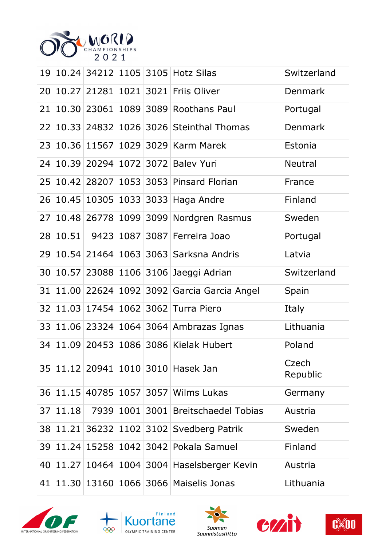

| 19              |       |             |  | 10.24 34212 1105 3105 Hotz Silas          | Switzerland       |
|-----------------|-------|-------------|--|-------------------------------------------|-------------------|
| 20              |       | 10.27 21281 |  | 1021 3021 Friis Oliver                    | Denmark           |
| 21              |       | 10.30 23061 |  | 1089 3089 Roothans Paul                   | Portugal          |
| 22              |       |             |  | 10.33 24832 1026 3026 Steinthal Thomas    | <b>Denmark</b>    |
| 23              |       | 10.36 11567 |  | 1029 3029 Karm Marek                      | Estonia           |
| 24              |       |             |  | 10.39 20294 1072 3072 Balev Yuri          | <b>Neutral</b>    |
| 25              |       |             |  | 10.42 28207 1053 3053 Pinsard Florian     | France            |
| 26              |       |             |  | 10.45 10305 1033 3033 Haga Andre          | Finland           |
| 27              |       |             |  | 10.48 26778 1099 3099 Nordgren Rasmus     | Sweden            |
| 28              |       |             |  | 10.51 9423 1087 3087 Ferreira Joao        | Portugal          |
| 29              |       |             |  | 10.54 21464 1063 3063 Sarksna Andris      | Latvia            |
| 30              |       |             |  | 10.57 23088 1106 3106 Jaeggi Adrian       | Switzerland       |
| 31              |       |             |  | 11.00 22624 1092 3092 Garcia Garcia Angel | Spain             |
| 32              |       | 11.03 17454 |  | 1062 3062 Turra Piero                     | Italy             |
| 33              |       |             |  | 11.06 23324 1064 3064 Ambrazas Ignas      | Lithuania         |
| 34              |       |             |  | 11.09 20453 1086 3086 Kielak Hubert       | Poland            |
|                 |       |             |  | 35 11.12 20941 1010 3010 Hasek Jan        | Czech<br>Republic |
| 36 <sup>2</sup> |       |             |  | 11.15 40785 1057 3057 Wilms Lukas         | Germany           |
| 37              | 11.18 | 7939        |  | 1001 3001 Breitschaedel Tobias            | Austria           |
| 38              | 11.21 | 36232       |  | 1102 3102 Svedberg Patrik                 | Sweden            |
| 39              | 11.24 | 15258       |  | 1042 3042 Pokala Samuel                   | Finland           |
| 40              | 11.27 | 10464       |  | 1004 3004 Haselsberger Kevin              | Austria           |
| 41              |       | 11.30 13160 |  | 1066 3066 Maiselis Jonas                  | Lithuania         |









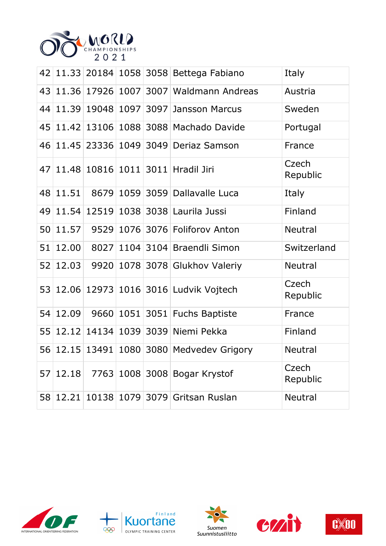

| 42 |       |                 |  | 11.33 20184 1058 3058 Bettega Fabiano          | Italy             |
|----|-------|-----------------|--|------------------------------------------------|-------------------|
| 43 |       | 11.36 17926     |  | 1007 3007 Waldmann Andreas                     | Austria           |
| 44 |       |                 |  | 11.39 19048 1097 3097 Jansson Marcus           | Sweden            |
| 45 |       |                 |  | 11.42 13106 1088 3088 Machado Davide           | Portugal          |
| 46 |       |                 |  | 11.45 23336 1049 3049 Deriaz Samson            | France            |
|    |       |                 |  | 47   11.48   10816   1011   3011   Hradil Jiri | Czech<br>Republic |
| 48 | 11.51 | 8679            |  | 1059 3059 Dallavalle Luca                      | Italy             |
| 49 | 11.54 | 12519           |  | 1038 3038 Laurila Jussi                        | Finland           |
| 50 | 11.57 | 9529            |  | 1076 3076 Foliforov Anton                      | <b>Neutral</b>    |
| 51 | 12.00 | 8027            |  | 1104 3104 Braendli Simon                       | Switzerland       |
| 52 | 12.03 | 9920            |  | 1078 3078 Glukhov Valeriy                      | <b>Neutral</b>    |
|    |       |                 |  | 53 12.06 12973 1016 3016 Ludvik Vojtech        | Czech<br>Republic |
| 54 | 12.09 |                 |  | 9660 1051 3051 Fuchs Baptiste                  | France            |
| 55 | 12.12 |                 |  | 14134 1039 3039 Niemi Pekka                    | Finland           |
| 56 |       | $12.15$   13491 |  | 1080 3080 Medvedev Grigory                     | <b>Neutral</b>    |
| 57 | 12.18 |                 |  | 7763 1008 3008 Bogar Krystof                   | Czech<br>Republic |
| 58 |       |                 |  | 12.21 10138 1079 3079 Gritsan Ruslan           | <b>Neutral</b>    |









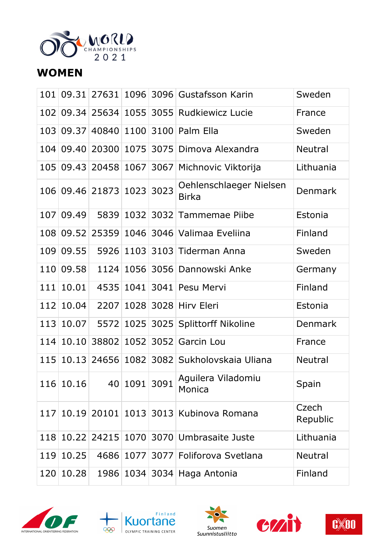

#### **WOMEN**

|     |           |                           |              | 101 09.31 27631 1096 3096 Gustafsson Karin     | Sweden            |
|-----|-----------|---------------------------|--------------|------------------------------------------------|-------------------|
|     |           |                           |              | 102 09.34 25634 1055 3055 Rudkiewicz Lucie     | France            |
|     |           |                           |              | 103 09.37 40840 1100 3100 Palm Ella            | Sweden            |
|     |           |                           |              | 104 09.40 20300 1075 3075 Dimova Alexandra     | <b>Neutral</b>    |
|     |           |                           |              | 105 09.43 20458 1067 3067 Michnovic Viktorija  | Lithuania         |
|     |           | 106 09.46 21873 1023 3023 |              | Oehlenschlaeger Nielsen<br><b>Birka</b>        | <b>Denmark</b>    |
| 107 | 09.49     |                           |              | 5839 1032 3032 Tammemae Piibe                  | Estonia           |
|     | 108 09.52 |                           |              | 25359 1046 3046 Valimaa Eveliina               | Finland           |
|     | 109 09.55 |                           |              | 5926 1103 3103 Tiderman Anna                   | Sweden            |
|     | 110 09.58 |                           |              | 1124 1056 3056 Dannowski Anke                  | Germany           |
|     | 111 10.01 |                           |              | 4535 1041 3041 Pesu Mervi                      | Finland           |
|     | 112 10.04 |                           |              | 2207 1028 3028 Hirv Eleri                      | Estonia           |
|     | 113 10.07 |                           |              | 5572 1025 3025 Splittorff Nikoline             | <b>Denmark</b>    |
|     | 114 10.10 |                           |              | 38802 1052 3052 Garcin Lou                     | France            |
|     |           |                           |              | 115 10.13 24656 1082 3082 Sukholovskaia Uliana | <b>Neutral</b>    |
|     | 116 10.16 |                           | 40 1091 3091 | Aguilera Viladomiu<br>Monica                   | Spain             |
| 117 |           |                           |              | 10.19 20101 1013 3013 Kubinova Romana          | Czech<br>Republic |
| 118 | 10.22     |                           |              | 24215 1070 3070 Umbrasaite Juste               | Lithuania         |
|     | 119 10.25 |                           |              | 4686 1077 3077 Foliforova Svetlana             | <b>Neutral</b>    |
|     | 120 10.28 |                           |              | 1986   1034   3034   Haga Antonia              | Finland           |









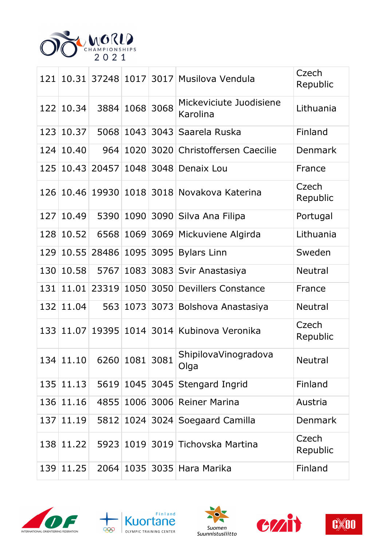

|     |           |                             |      |      | 121 10.31 37248 1017 3017 Musilova Vendula    | Czech<br>Republic |
|-----|-----------|-----------------------------|------|------|-----------------------------------------------|-------------------|
|     | 122 10.34 | 3884                        | 1068 | 3068 | Mickeviciute Juodisiene<br>Karolina           | Lithuania         |
| 123 | 10.37     | 5068                        | 1043 |      | 3043 Saarela Ruska                            | Finland           |
|     | 124 10.40 | 964                         | 1020 |      | 3020 Christoffersen Caecilie                  | <b>Denmark</b>    |
|     | 125 10.43 | 20457                       |      |      | 1048 3048 Denaix Lou                          | France            |
|     |           |                             |      |      | 126 10.46 19930 1018 3018 Novakova Katerina   | Czech<br>Republic |
| 127 | 10.49     | 5390                        |      |      | 1090 3090 Silva Ana Filipa                    | Portugal          |
|     | 128 10.52 |                             |      |      | 6568 1069 3069 Mickuviene Algirda             | Lithuania         |
| 129 | 10.55     |                             |      |      | 28486 1095 3095 Bylars Linn                   | Sweden            |
| 130 | 10.58     | 5767                        |      |      | 1083 3083 Svir Anastasiya                     | <b>Neutral</b>    |
|     |           |                             |      |      | 131 11.01 23319 1050 3050 Devillers Constance | France            |
| 132 | 11.04     | 563                         |      |      | 1073 3073 Bolshova Anastasiya                 | <b>Neutral</b>    |
|     |           |                             |      |      | 133 11.07 19395 1014 3014 Kubinova Veronika   | Czech<br>Republic |
|     |           | $134 11.10 $ 6260 1081 3081 |      |      | ShipilovaVinogradova<br>Olga                  | Neutral           |
|     | 135 11.13 |                             |      |      | 5619 1045 3045 Stengard Ingrid                | Finland           |
|     | 136 11.16 |                             |      |      | 4855 1006 3006 Reiner Marina                  | Austria           |
|     | 137 11.19 |                             |      |      | 5812 1024 3024 Soegaard Camilla               | <b>Denmark</b>    |
|     | 138 11.22 |                             |      |      | 5923 1019 3019 Tichovska Martina              | Czech<br>Republic |
|     | 139 11.25 |                             |      |      | 2064   1035   3035   Hara Marika              | Finland           |









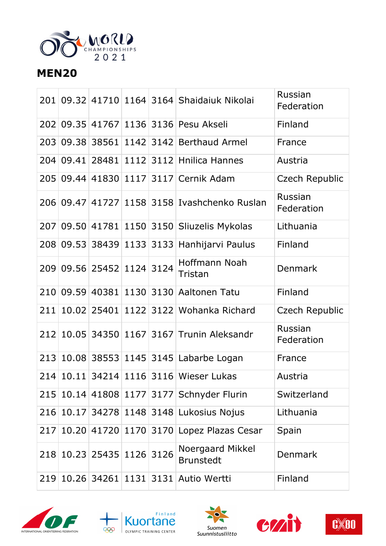

## **MEN20**

|     |           |                           |  | 201 09.32 41710 1164 3164 Shaidaiuk Nikolai            | Russian<br>Federation |
|-----|-----------|---------------------------|--|--------------------------------------------------------|-----------------------|
|     |           |                           |  | 202 09.35 41767 1136 3136 Pesu Akseli                  | Finland               |
| 203 | 09.38     | 38561                     |  | 1142 3142 Berthaud Armel                               | France                |
|     | 204 09.41 | 28481                     |  | 1112 3112 Hnilica Hannes                               | Austria               |
|     |           |                           |  | 205 09.44 41830 1117 3117 Cernik Adam                  | Czech Republic        |
|     |           |                           |  | 206   09.47   41727   1158   3158   Ivashchenko Ruslan | Russian<br>Federation |
|     |           |                           |  | 207 09.50 41781 1150 3150 Sliuzelis Mykolas            | Lithuania             |
|     |           |                           |  | 208 09.53 38439 1133 3133 Hanhijarvi Paulus            | Finland               |
|     |           | 209 09.56 25452 1124 3124 |  | Hoffmann Noah<br>Tristan                               | <b>Denmark</b>        |
|     | 210 09.59 | 40381                     |  | 1130 3130 Aaltonen Tatu                                | Finland               |
| 211 |           |                           |  | 10.02 25401 1122 3122 Wohanka Richard                  | Czech Republic        |
|     |           |                           |  | 212 10.05 34350 1167 3167 Trunin Aleksandr             | Russian<br>Federation |
|     |           |                           |  | 213 10.08 38553 1145 3145 Labarbe Logan                | France                |
|     |           |                           |  | 214 10.11 34214 1116 3116 Wieser Lukas                 | Austria               |
|     |           |                           |  | 215 10.14 41808 1177 3177 Schnyder Flurin              | Switzerland           |
|     |           |                           |  | 216 10.17 34278 1148 3148 Lukosius Nojus               | Lithuania             |
| 217 |           |                           |  | 10.20 41720 1170 3170 Lopez Plazas Cesar               | Spain                 |
|     |           | 218 10.23 25435 1126 3126 |  | Noergaard Mikkel<br><b>Brunstedt</b>                   | Denmark               |
|     |           |                           |  | 219 10.26 34261 1131 3131 Autio Wertti                 | Finland               |









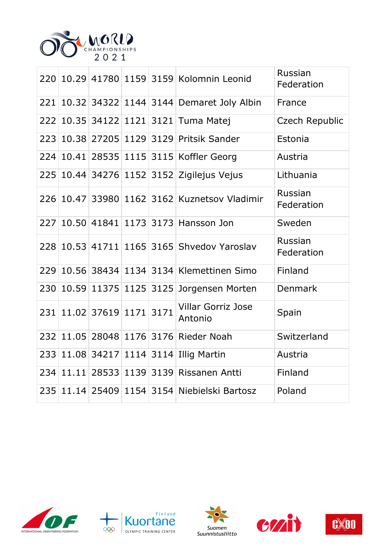

|  |                           |  | 220 10.29 41780 1159 3159 Kolomnin Leonid    | Russian<br>Federation |
|--|---------------------------|--|----------------------------------------------|-----------------------|
|  |                           |  | 221 10.32 34322 1144 3144 Demaret Joly Albin | France                |
|  |                           |  | 222 10.35 34122 1121 3121 Tuma Matej         | <b>Czech Republic</b> |
|  |                           |  | 223 10.38 27205 1129 3129 Pritsik Sander     | Estonia               |
|  |                           |  | 224 10.41 28535 1115 3115 Koffler Georg      | Austria               |
|  |                           |  | 225 10.44 34276 1152 3152 Zigilejus Vejus    | Lithuania             |
|  |                           |  | 226 10.47 33980 1162 3162 Kuznetsov Vladimir | Russian<br>Federation |
|  |                           |  | 227 10.50 41841 1173 3173 Hansson Jon        | Sweden                |
|  |                           |  | 228 10.53 41711 1165 3165 Shvedov Yaroslav   | Russian<br>Federation |
|  |                           |  | 229 10.56 38434 1134 3134 Klemettinen Simo   | Finland               |
|  |                           |  | 230 10.59 11375 1125 3125 Jorgensen Morten   | Denmark               |
|  | 231 11.02 37619 1171 3171 |  | <b>Villar Gorriz Jose</b><br>Antonio         | Spain                 |
|  |                           |  | 232 11.05 28048 1176 3176 Rieder Noah        | Switzerland           |
|  |                           |  | 233 11.08 34217 1114 3114 Illig Martin       | Austria               |
|  |                           |  | 234 11.11 28533 1139 3139 Rissanen Antti     | Finland               |
|  |                           |  | 235 11.14 25409 1154 3154 Niebielski Bartosz | Poland                |









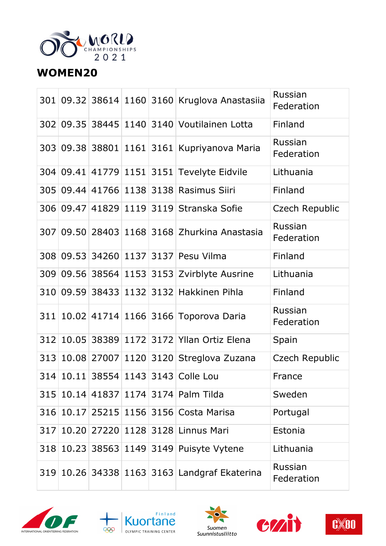

### **WOMEN20**

|     |  |  | 301 09.32 38614 1160 3160 Kruglova Anastasiia | Russian<br>Federation |
|-----|--|--|-----------------------------------------------|-----------------------|
|     |  |  | 302 09.35 38445 1140 3140 Voutilainen Lotta   | Finland               |
|     |  |  | 303 09.38 38801 1161 3161 Kupriyanova Maria   | Russian<br>Federation |
|     |  |  | 304 09.41 41779 1151 3151 Tevelyte Eidvile    | Lithuania             |
|     |  |  | 305 09.44 41766 1138 3138 Rasimus Siiri       | Finland               |
|     |  |  | 306 09.47 41829 1119 3119 Stranska Sofie      | Czech Republic        |
|     |  |  | 307 09.50 28403 1168 3168 Zhurkina Anastasia  | Russian<br>Federation |
|     |  |  | 308 09.53 34260 1137 3137 Pesu Vilma          | Finland               |
|     |  |  | 309 09.56 38564 1153 3153 Zvirblyte Ausrine   | Lithuania             |
|     |  |  | 310 09.59 38433 1132 3132 Hakkinen Pihla      | Finland               |
| 311 |  |  | 10.02 41714 1166 3166 Toporova Daria          | Russian<br>Federation |
| 312 |  |  | 10.05 38389 1172 3172 Yllan Ortiz Elena       | Spain                 |
| 313 |  |  | 10.08 27007 1120 3120 Streglova Zuzana        | Czech Republic        |
|     |  |  | 314 10.11 38554 1143 3143 Colle Lou           | France                |
|     |  |  | 315 10.14 41837 1174 3174 Palm Tilda          | Sweden                |
|     |  |  | 316 10.17 25215 1156 3156 Costa Marisa        | Portugal              |
| 317 |  |  | 10.20 27220 1128 3128 Linnus Mari             | Estonia               |
|     |  |  | 318 10.23 38563 1149 3149 Puisyte Vytene      | Lithuania             |
|     |  |  | 319 10.26 34338 1163 3163 Landgraf Ekaterina  | Russian<br>Federation |